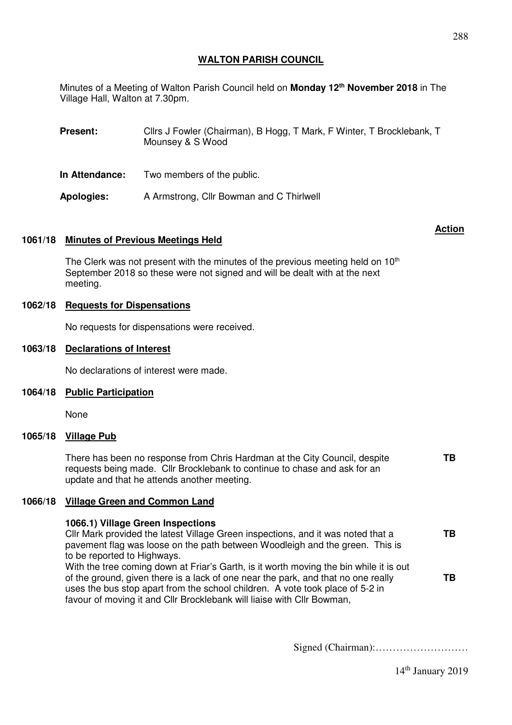Minutes of a Meeting of Walton Parish Council held on **Monday 12th November 2018** in The Village Hall, Walton at 7.30pm.

| <b>Present:</b> | Cllrs J Fowler (Chairman), B Hogg, T Mark, F Winter, T Brocklebank, T<br>Mounsey & S Wood |
|-----------------|-------------------------------------------------------------------------------------------|
| In Attendance:  | Two members of the public.                                                                |
| Apologies:      | A Armstrong, Cllr Bowman and C Thirlwell                                                  |

# **1061/18 Minutes of Previous Meetings Held**

The Clerk was not present with the minutes of the previous meeting held on  $10<sup>th</sup>$ September 2018 so these were not signed and will be dealt with at the next meeting.

# **1062/18 Requests for Dispensations**

No requests for dispensations were received.

### **1063/18 Declarations of Interest**

No declarations of interest were made.

#### **1064/18 Public Participation**

None

### **1065/18 Village Pub**

There has been no response from Chris Hardman at the City Council, despite requests being made. Cllr Brocklebank to continue to chase and ask for an update and that he attends another meeting.

### **1066/18 Village Green and Common Land**

# **1066.1) Village Green Inspections**

Cllr Mark provided the latest Village Green inspections, and it was noted that a pavement flag was loose on the path between Woodleigh and the green. This is to be reported to Highways. With the tree coming down at Friar's Garth, is it worth moving the bin while it is out of the ground, given there is a lack of one near the park, and that no one really uses the bus stop apart from the school children. A vote took place of 5-2 in favour of moving it and Cllr Brocklebank will liaise with Cllr Bowman, **TB TB** 

Signed (Chairman):………………………

#### **Action**

**TB**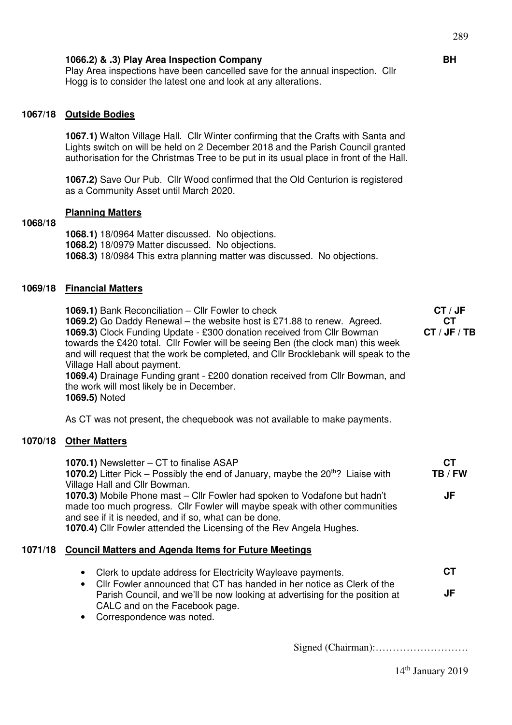Play Area inspections have been cancelled save for the annual inspection. Cllr Hogg is to consider the latest one and look at any alterations.

# **1067/18 Outside Bodies**

**1067.1)** Walton Village Hall. Cllr Winter confirming that the Crafts with Santa and Lights switch on will be held on 2 December 2018 and the Parish Council granted authorisation for the Christmas Tree to be put in its usual place in front of the Hall.

**1067.2)** Save Our Pub. Cllr Wood confirmed that the Old Centurion is registered as a Community Asset until March 2020.

### **Planning Matters**

# **1068/18**

**1068.1)** 18/0964 Matter discussed. No objections. **1068.2)** 18/0979 Matter discussed. No objections. **1068.3)** 18/0984 This extra planning matter was discussed. No objections.

### **1069/18 Financial Matters**

**1069.1)** Bank Reconciliation – Cllr Fowler to check **1069.2)** Go Daddy Renewal – the website host is £71.88 to renew. Agreed. **1069.3)** Clock Funding Update - £300 donation received from Cllr Bowman towards the £420 total. Cllr Fowler will be seeing Ben (the clock man) this week and will request that the work be completed, and Cllr Brocklebank will speak to the Village Hall about payment. **1069.4)** Drainage Funding grant - £200 donation received from Cllr Bowman, and **CT / JF CT CT / JF / TB** 

the work will most likely be in December. **1069.5)** Noted

As CT was not present, the chequebook was not available to make payments.

## **1070/18 Other Matters**

| <b>1070.1)</b> Newsletter – CT to finalise ASAP<br><b>1070.2)</b> Litter Pick – Possibly the end of January, maybe the $20th$ ? Liaise with<br>Village Hall and Cllr Bowman.                                                                                                              | CТ<br>TB / FW |
|-------------------------------------------------------------------------------------------------------------------------------------------------------------------------------------------------------------------------------------------------------------------------------------------|---------------|
| 1070.3) Mobile Phone mast – Cllr Fowler had spoken to Vodafone but hadn't<br>made too much progress. Cllr Fowler will maybe speak with other communities<br>and see if it is needed, and if so, what can be done.<br>1070.4) Cllr Fowler attended the Licensing of the Rev Angela Hughes. | JF            |
| 1071/18 Council Matters and Agenda Items for Future Meetings                                                                                                                                                                                                                              |               |

| • Clerk to update address for Electricity Wayleave payments.                | CТ |
|-----------------------------------------------------------------------------|----|
| • Cllr Fowler announced that CT has handed in her notice as Clerk of the    |    |
| Parish Council, and we'll be now looking at advertising for the position at | JF |
| CALC and on the Facebook page.                                              |    |
|                                                                             |    |

• Correspondence was noted.

Signed (Chairman):………………………

**BH**